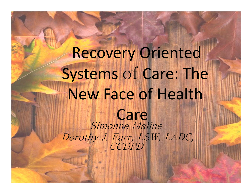# Recovery Oriented Systems of Care: The New Face of Health Care Simonne Maline Dorothy J. Farr, LSW, LADC, CCDPD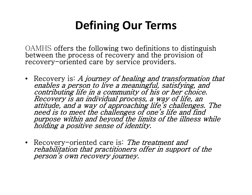## **Defining Our Terms**

OAMHS offers the following two definitions to distinguish between the process of recovery and the provision of recovery-oriented care by service providers.

- Recovery is: A journey of healing and transformation that enables a person to live a meaningful, satisfying, and contributing life in a community of his or her choice. Recovery is an individual process, a way of life, an<br>attitude, and a way of approaching life's challenges. The<br>need is to meet the challenges of one's life and find purpose within and beyond the limits of the illness while holding a positive sense of identity.
- Recovery-oriented care is: The treatment and rehabilitation that practitioners offer in support of the person's own recovery journey.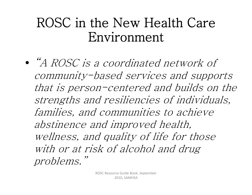# ROSC in the New Health Care Environment

•"A ROSC is a coordinated network of community-based services and supports that is person-centered and builds on the strengths and resiliencies of individuals, families, and communities to achieve abstinence and improved health, wellness, and quality of life for those with or at risk of alcohol and drug problems."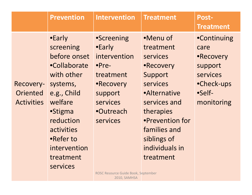|                                                   | <b>Prevention</b>                                                                                                                                                                                          | <b>Intervention</b>                                                                                                                     | <b>Treatment</b>                                                                                                                                                                                           | Post-<br><b>Treatment</b>                                                                            |
|---------------------------------------------------|------------------------------------------------------------------------------------------------------------------------------------------------------------------------------------------------------------|-----------------------------------------------------------------------------------------------------------------------------------------|------------------------------------------------------------------------------------------------------------------------------------------------------------------------------------------------------------|------------------------------------------------------------------------------------------------------|
| Recovery-<br><b>Oriented</b><br><b>Activities</b> | •Early<br>screening<br>before onset<br>•Collaborate<br>with other<br>systems,<br>e.g., Child<br>welfare<br><b>•Stigma</b><br>reduction<br>activities<br>•Refer to<br>intervention<br>treatment<br>services | <b>•Screening</b><br>•Early<br>intervention<br>$\bullet$ Pre-<br>treatment<br>•Recovery<br>support<br>services<br>•Outreach<br>services | •Menu of<br>treatment<br>services<br>•Recovery<br>Support<br>services<br><b>•Alternative</b><br>services and<br>therapies<br>•Prevention for<br>families and<br>siblings of<br>individuals in<br>treatment | <b>•Continuing</b><br>care<br>•Recovery<br>support<br>services<br>•Check-ups<br>•Self-<br>monitoring |

ROSC Resource Guide Book, September 2010, SAMHSA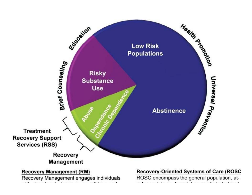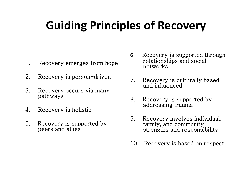# **Guiding Principles of Recovery**

- 1. Recovery emerges from hope
- 2. Recovery is person-driven
- 3. Recovery occurs via many pathways
- 4. Recovery is holistic
- 5. Recovery is supported by peers and allies
- **6**. Recovery is supported through relationships and social networks
- 7. Recovery is culturally based and influenced
- 8. Recovery is supported by addressing trauma
- 9. Recovery involves individual, family, and community strengths and responsibility
- 10. Recovery is based on respect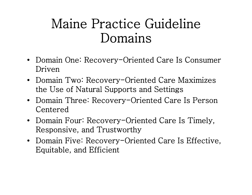# Maine Practice Guideline Domains

- Domain One: Recovery-Oriented Care Is Consumer Driven
- Domain Two: Recovery-Oriented Care Maximizes the Use of Natural Supports and Settings
- Domain Three: Recovery-Oriented Care Is Person Centered
- Domain Four: Recovery-Oriented Care Is Timely, Responsive, and Trustworthy
- Domain Five: Recovery-Oriented Care Is Effective, Equitable, and Efficient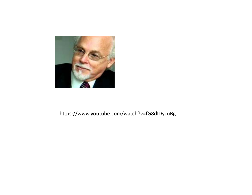

#### https://www.youtube.com/watch?v=fG8dIDycuBg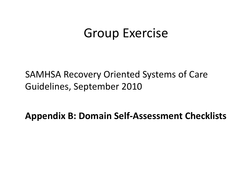### Group Exercise

SAMHSA Recovery Oriented Systems of Care Guidelines, September 2010

**Appendix B: Domain Self‐Assessment Checklists**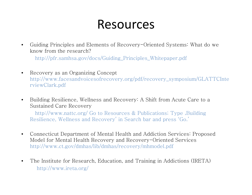#### Resources

 $\bullet$  Guiding Principles and Elements of Recovery-Oriented Systems: What do we know from the research?

http://pfr.samhsa.gov/docs/Guiding\_Principles\_Whitepaper.pdf

- $\bullet$  Recovery as an Organizing Concept http://www.facesandvoicesofrecovery.org/pdf/recovery\_symposium/GLATTCInte rviewClark.pdf
- $\bullet$  Building Resilience, Wellness and Recovery: A Shift from Acute Care to a Sustained Care Recovery

http://www.nattc.org/ Go to Resources & Publications; Type, Building Resilience, Wellness and Recovery' in Search bar and press 'Go.'

- $\bullet$  Connecticut Department of Mental Health and Addiction Services: Proposed Model for Mental Health Recovery and Recovery-Oriented Services http://www.ct.gov/dmhas/lib/dmhas/recovery/mhmodel.pdf
- $\bullet$  The Institute for Research, Education, and Training in Addictions (IRETA) http://www.ireta.org/